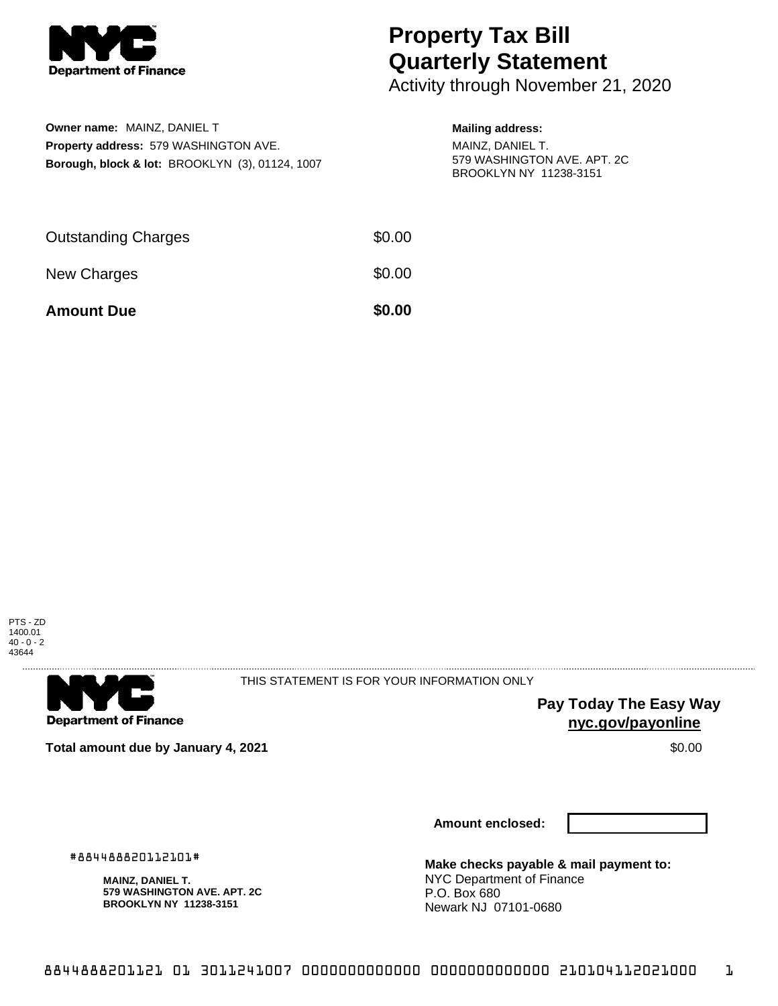

## **Property Tax Bill Quarterly Statement**

Activity through November 21, 2020

| <b>Owner name: MAINZ, DANIEL T</b>                         |
|------------------------------------------------------------|
| <b>Property address: 579 WASHINGTON AVE.</b>               |
| <b>Borough, block &amp; lot: BROOKLYN (3), 01124, 1007</b> |

## **Mailing address:**

MAINZ, DANIEL T. 579 WASHINGTON AVE. APT. 2C BROOKLYN NY 11238-3151

| <b>Amount Due</b>          | \$0.00 |
|----------------------------|--------|
| New Charges                | \$0.00 |
| <b>Outstanding Charges</b> | \$0.00 |





THIS STATEMENT IS FOR YOUR INFORMATION ONLY

**Pay Today The Easy Way nyc.gov/payonline**

**Total amount due by January 4, 2021 \$0.00**  $\bullet$  **\$0.00**  $\bullet$  **\$0.00**  $\bullet$  **\$0.00** 

**Amount enclosed:**

**Make checks payable & mail payment to:** NYC Department of Finance P.O. Box 680 Newark NJ 07101-0680

#884488820112101#

**MAINZ, DANIEL T. 579 WASHINGTON AVE. APT. 2C BROOKLYN NY 11238-3151**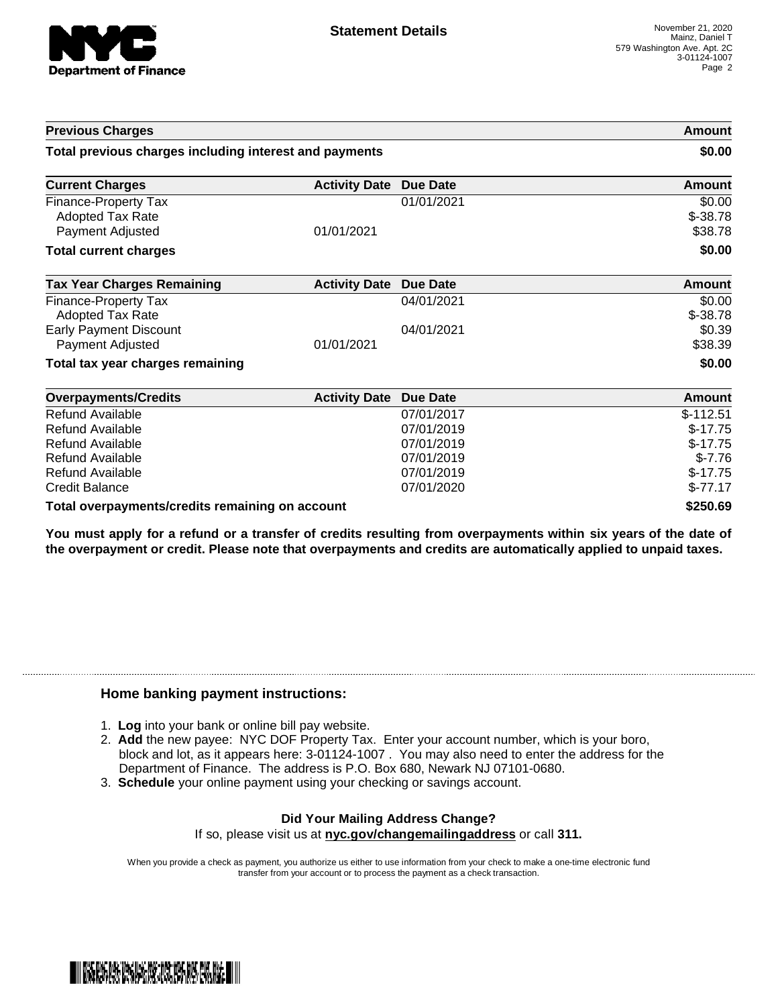

| <b>Previous Charges</b>                                             |                      |                 | Amount                          |
|---------------------------------------------------------------------|----------------------|-----------------|---------------------------------|
| Total previous charges including interest and payments              |                      |                 | \$0.00                          |
| <b>Current Charges</b>                                              | <b>Activity Date</b> | <b>Due Date</b> | Amount                          |
| Finance-Property Tax<br><b>Adopted Tax Rate</b><br>Payment Adjusted | 01/01/2021           | 01/01/2021      | \$0.00<br>$$ -38.78$<br>\$38.78 |
| <b>Total current charges</b>                                        |                      |                 | \$0.00                          |
| <b>Tax Year Charges Remaining</b>                                   | <b>Activity Date</b> | <b>Due Date</b> | <b>Amount</b>                   |
| <b>Finance-Property Tax</b>                                         |                      | 04/01/2021      | \$0.00                          |
| <b>Adopted Tax Rate</b>                                             |                      |                 | $$ -38.78$                      |
| <b>Early Payment Discount</b>                                       |                      | 04/01/2021      | \$0.39                          |
| Payment Adjusted                                                    | 01/01/2021           |                 | \$38.39                         |
| Total tax year charges remaining                                    |                      |                 | \$0.00                          |
| <b>Overpayments/Credits</b>                                         | <b>Activity Date</b> | <b>Due Date</b> | <b>Amount</b>                   |
| <b>Refund Available</b>                                             |                      | 07/01/2017      | $$-112.51$                      |
| Refund Available                                                    |                      | 07/01/2019      | $$-17.75$                       |
| Refund Available                                                    |                      | 07/01/2019      | $$-17.75$                       |
| Refund Available                                                    |                      | 07/01/2019      | $$-7.76$                        |
| Refund Available                                                    |                      | 07/01/2019      | $$-17.75$                       |
| <b>Credit Balance</b>                                               |                      | 07/01/2020      | $$-77.17$                       |
| Total overpayments/credits remaining on account                     |                      |                 | \$250.69                        |

You must apply for a refund or a transfer of credits resulting from overpayments within six years of the date of **the overpayment or credit. Please note that overpayments and credits are automatically applied to unpaid taxes.**

## **Home banking payment instructions:**

- 1. **Log** into your bank or online bill pay website.
- 2. **Add** the new payee: NYC DOF Property Tax. Enter your account number, which is your boro, block and lot, as it appears here: 3-01124-1007 . You may also need to enter the address for the Department of Finance. The address is P.O. Box 680, Newark NJ 07101-0680.
- 3. **Schedule** your online payment using your checking or savings account.

## **Did Your Mailing Address Change?**

If so, please visit us at **nyc.gov/changemailingaddress** or call **311.**

When you provide a check as payment, you authorize us either to use information from your check to make a one-time electronic fund transfer from your account or to process the payment as a check transaction.